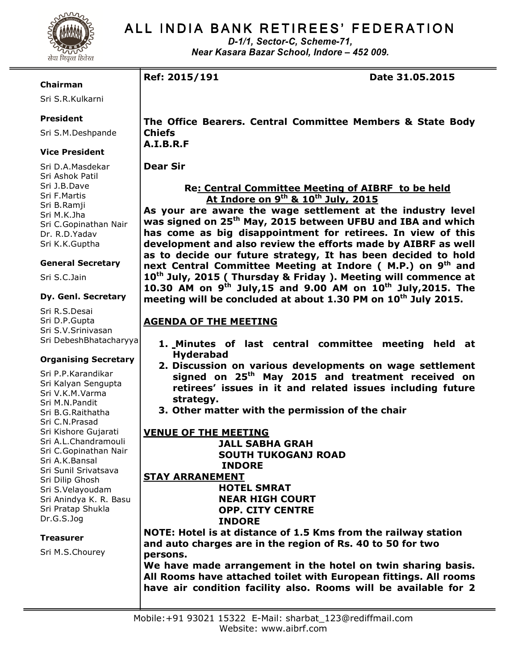

# ALL INDIA BANK RETIREES' FEDERATION

D-1/1, Sector-C, Scheme-71, Near Kasara Bazar School, Indore – 452 009.

## Chairman

Sri S.R.Kulkarni

# President

Sri S.M.Deshpande

# Vice President

Sri D.A.Masdekar Sri Ashok Patil Sri J.B.Dave Sri F.Martis Sri B.Ramji Sri M.K.Jha Sri C.Gopinathan Nair Dr. R.D.Yadav Sri K.K.Guptha

## General Secretary

Sri S.C.Jain

## Dy. Genl. Secretary

Sri R.S.Desai Sri D.P.Gupta Sri S.V.Srinivasan Sri DebeshBhatacharyya

# Organising Secretary

Sri P.P.Karandikar Sri Kalyan Sengupta Sri V.K.M.Varma Sri M.N.Pandit Sri B.G.Raithatha Sri C.N.Prasad Sri Kishore Gujarati Sri A.L.Chandramouli Sri C.Gopinathan Nair Sri A.K.Bansal Sri Sunil Srivatsava Sri Dilip Ghosh Sri S.Velayoudam Sri Anindya K. R. Basu Sri Pratap Shukla Dr.G.S.Jog

# **Treasurer**

Sri M.S.Chourey

The Office Bearers. Central Committee Members & State Body Chiefs

A.I.B.R.F

Dear Sir

# Re: Central Committee Meeting of AIBRF to be held At Indore on 9<sup>th</sup> & 10<sup>th</sup> July, 2015

As your are aware the wage settlement at the industry level was signed on 25<sup>th</sup> May, 2015 between UFBU and IBA and which has come as big disappointment for retirees. In view of this development and also review the efforts made by AIBRF as well as to decide our future strategy, It has been decided to hold next Central Committee Meeting at Indore (M.P.) on 9<sup>th</sup> and 10<sup>th</sup> July, 2015 ( Thursday & Friday ). Meeting will commence at 10.30 AM on  $9^{th}$  July, 15 and 9.00 AM on  $10^{th}$  July, 2015. The meeting will be concluded at about 1.30 PM on 10<sup>th</sup> July 2015.

# AGENDA OF THE MEETING

- 1. Minutes of last central committee meeting held at Hyderabad
- 2. Discussion on various developments on wage settlement signed on 25<sup>th</sup> May 2015 and treatment received on retirees' issues in it and related issues including future strategy.
- 3. Other matter with the permission of the chair

#### VENUE OF THE MEETING JALL SABHA GRAH SOUTH TUKOGANJ ROAD INDORE

STAY ARRANEMENT

 HOTEL SMRAT NEAR HIGH COURT OPP. CITY CENTRE INDORE

NOTE: Hotel is at distance of 1.5 Kms from the railway station and auto charges are in the region of Rs. 40 to 50 for two persons.

We have made arrangement in the hotel on twin sharing basis. All Rooms have attached toilet with European fittings. All rooms have air condition facility also. Rooms will be available for 2

Ref: 2015/191 Date 31.05.2015